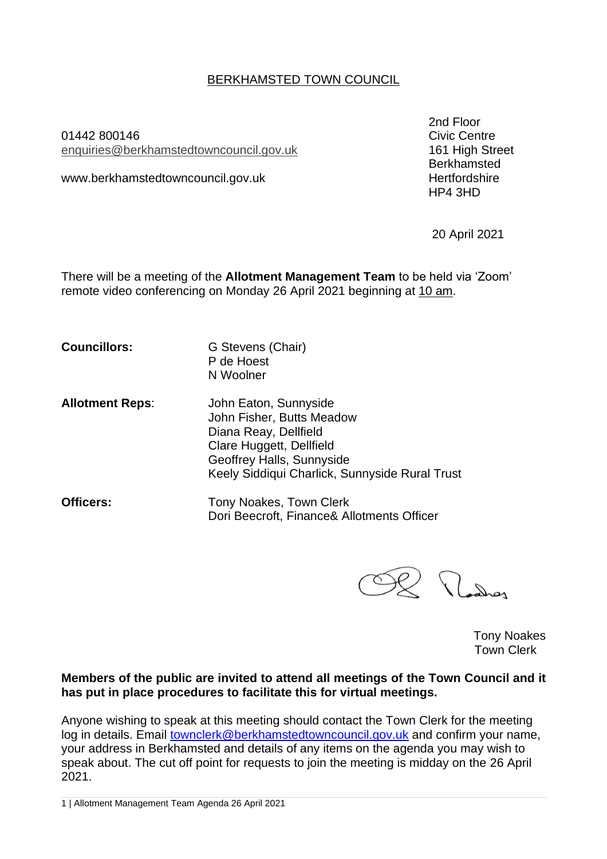## BERKHAMSTED TOWN COUNCIL

01442 800146 Civic Centre enquiries[@berkhamstedtowncouncil.gov.uk](mailto:berkhamsted.towncouncil@dacorum.gov.uk) 161 High Street

www.berkhamstedtowncouncil.gov.uk

2nd Floor Berkhamsted<br>Hertfordshire HP4 3HD

20 April 2021

There will be a meeting of the **Allotment Management Team** to be held via 'Zoom' remote video conferencing on Monday 26 April 2021 beginning at 10 am.

**Councillors:** G Stevens (Chair) P de Hoest N Woolner **Allotment Reps**: John Eaton, Sunnyside John Fisher, Butts Meadow Diana Reay, Dellfield Clare Huggett, Dellfield Geoffrey Halls, Sunnyside Keely Siddiqui Charlick, Sunnyside Rural Trust **Officers:** Tony Noakes, Town Clerk Dori Beecroft, Finance& Allotments Officer

Rodrey

Tony Noakes Town Clerk

#### **Members of the public are invited to attend all meetings of the Town Council and it has put in place procedures to facilitate this for virtual meetings.**

Anyone wishing to speak at this meeting should contact the Town Clerk for the meeting log in details. Email [townclerk@berkhamstedtowncouncil.gov.uk](mailto:townclerk@berkhamstedtowncouncil.gov.uk) and confirm your name, your address in Berkhamsted and details of any items on the agenda you may wish to speak about. The cut off point for requests to join the meeting is midday on the 26 April 2021.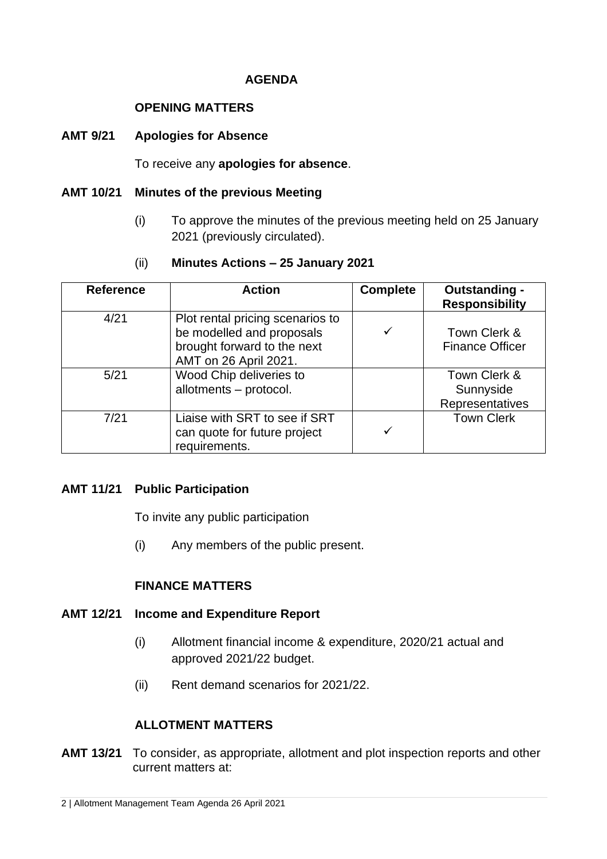## **AGENDA**

### **OPENING MATTERS**

#### **AMT 9/21 Apologies for Absence**

To receive any **apologies for absence**.

### **AMT 10/21 Minutes of the previous Meeting**

(i) To approve the minutes of the previous meeting held on 25 January 2021 (previously circulated).

## (ii) **Minutes Actions – 25 January 2021**

| <b>Reference</b> | <b>Action</b>                                                                                                         | <b>Complete</b> | <b>Outstanding -</b><br><b>Responsibility</b> |
|------------------|-----------------------------------------------------------------------------------------------------------------------|-----------------|-----------------------------------------------|
| 4/21             | Plot rental pricing scenarios to<br>be modelled and proposals<br>brought forward to the next<br>AMT on 26 April 2021. | $\checkmark$    | Town Clerk &<br><b>Finance Officer</b>        |
| 5/21             | Wood Chip deliveries to<br>allotments - protocol.                                                                     |                 | Town Clerk &<br>Sunnyside<br>Representatives  |
| 7/21             | Liaise with SRT to see if SRT<br>can quote for future project<br>requirements.                                        | ✓               | <b>Town Clerk</b>                             |

#### **AMT 11/21 Public Participation**

To invite any public participation

(i) Any members of the public present.

# **FINANCE MATTERS**

#### **AMT 12/21 Income and Expenditure Report**

- (i) Allotment financial income & expenditure, 2020/21 actual and approved 2021/22 budget.
- (ii) Rent demand scenarios for 2021/22.

# **ALLOTMENT MATTERS**

**AMT 13/21** To consider, as appropriate, allotment and plot inspection reports and other current matters at: